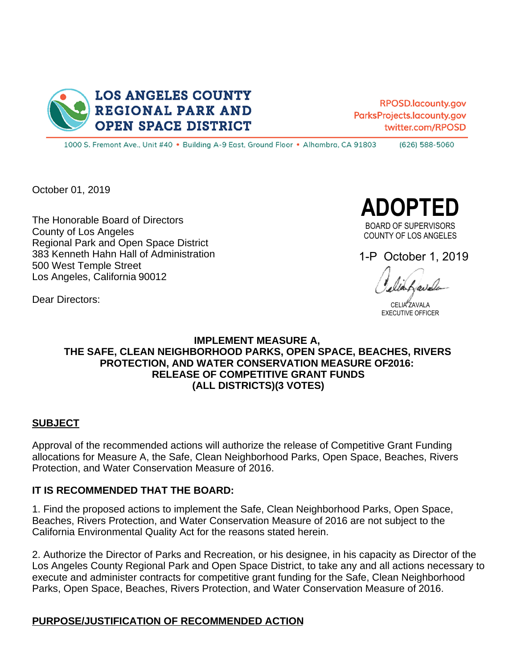

RPOSD.lacountv.gov ParksProjects.lacounty.gov twitter.com/RPOSD

1000 S. Fremont Ave., Unit #40 . Building A-9 East, Ground Floor . Alhambra, CA 91803 (626) 588-5060

October 01, 2019

Dear Directors:

The Honorable Board of Directors County of Los Angeles Regional Park and Open Space District 383 Kenneth Hahn Hall of Administration 500 West Temple Street Los Angeles, California 90012

**ADOPTED** 

BOARD OF SUPERVISORS COUNTY OF LOS ANGELES

1-P October 1, 2019

CELIA ZAVALA EXECUTIVE OFFICER

## **IMPLEMENT MEASURE A, THE SAFE, CLEAN NEIGHBORHOOD PARKS, OPEN SPACE, BEACHES, RIVERS PROTECTION. AND WATER CONSERVATION MEASURE OF 2016: RELEASE OF COMPETITIVE GRANT FUNDS (ALL DISTRICTS)(3 VOTES)**

#### **SUBJECT**

Approval of the recommended actions will authorize the release of Competitive Grant Funding allocations for Measure A, the Safe, Clean Neighborhood Parks, Open Space, Beaches, Rivers Protection, and Water Conservation Measure of 2016.

#### **IT IS RECOMMENDED THAT THE BOARD:**

1. Find the proposed actions to implement the Safe, Clean Neighborhood Parks, Open Space, Beaches, Rivers Protection, and Water Conservation Measure of 2016 are not subject to the California Environmental Quality Act for the reasons stated herein.

2. Authorize the Director of Parks and Recreation, or his designee, in his capacity as Director of the Los Angeles County Regional Park and Open Space District, to take any and all actions necessary to execute and administer contracts for competitive grant funding for the Safe, Clean Neighborhood Parks, Open Space, Beaches, Rivers Protection, and Water Conservation Measure of 2016.

#### **PURPOSE/JUSTIFICATION OF RECOMMENDED ACTION**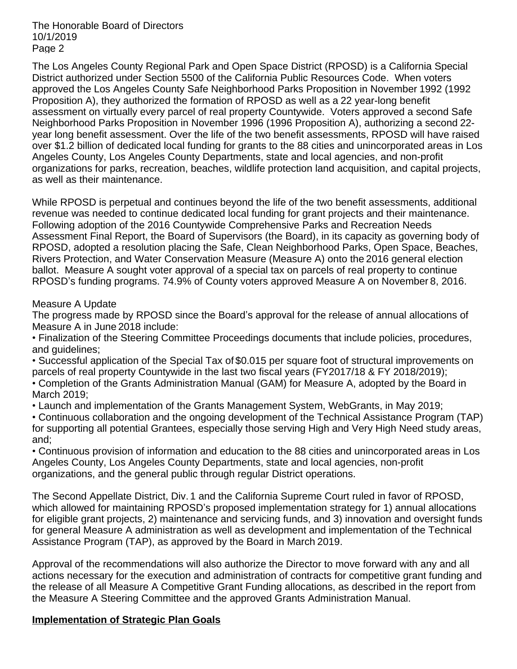The Honorable Board of Directors 10/1/2019 Page 2

The Los Angeles County Regional Park and Open Space District (RPOSD) is a California Special District authorized under Section 5500 of the California Public Resources Code. When voters approved the Los Angeles County Safe Neighborhood Parks Proposition in November 1992 (1992 Proposition A), they authorized the formation of RPOSD as well as a 22 year-long benefit assessment on virtually every parcel of real property Countywide. Voters approved a second Safe Neighborhood Parks Proposition in November 1996 (1996 Proposition A), authorizing a second 22 year long benefit assessment. Over the life of the two benefit assessments, RPOSD will have raised over \$1.2 billion of dedicated local funding for grants to the 88 cities and unincorporated areas in Los Angeles County, Los Angeles County Departments, state and local agencies, and non-profit organizations for parks, recreation, beaches, wildlife protection land acquisition, and capital projects, as well as their maintenance.

While RPOSD is perpetual and continues beyond the life of the two benefit assessments, additional revenue was needed to continue dedicated local funding for grant projects and their maintenance. Following adoption of the 2016 Countywide Comprehensive Parks and Recreation Needs Assessment Final Report, the Board of Supervisors (the Board), in its capacity as governing body of RPOSD, adopted a resolution placing the Safe, Clean Neighborhood Parks, Open Space, Beaches, Rivers Protection, and Water Conservation Measure (Measure A) onto the 2016 general election ballot. Measure A sought voter approval of a special tax on parcels of real property to continue RPOSD's funding programs. 74.9% of County voters approved Measure A on November 8, 2016.

#### Measure A Update

The progress made by RPOSD since the Board's approval for the release of annual allocations of Measure A in June 2018 include:

Finalization of the Steering Committee Proceedings documents that include policies, procedures, and quidelines:

Successful application of the Special Tax of \$0.015 per square foot of structural improvements on parcels of real property Countywide in the last two fiscal years (FY2017/18 & FY 2018/2019);

Completion of the Grants Administration Manual (GAM) for Measure A, adopted by the Board in March 2019;

Launch and implementation of the Grants Management System, WebGrants, in May 2019;

Continuous collaboration and the ongoing development of the Technical Assistance Program (TAP) for supporting all potential Grantees, especially those serving High and Very High Need study areas, and;

Continuous provision of information and education to the 88 cities and unincorporated areas in Los Angeles County, Los Angeles County Departments, state and local agencies, non-profit organizations, and the general public through regular District operations.

The Second Appellate District, Div. 1 and the California Supreme Court ruled in favor of RPOSD, which allowed for maintaining RPOSD's proposed implementation strategy for 1) annual allocations for eligible grant projects, 2) maintenance and servicing funds, and 3) innovation and oversight funds for general Measure A administration as well as development and implementation of the Technical Assistance Program (TAP), as approved by the Board in March 2019.

Approval of the recommendations will also authorize the Director to move forward with any and all actions necessary for the execution and administration of contracts for competitive grant funding and the release of all Measure A Competitive Grant Funding allocations, as described in the report from the Measure A Steering Committee and the approved Grants Administration Manual.

## **Implementation of Strategic Plan Goals**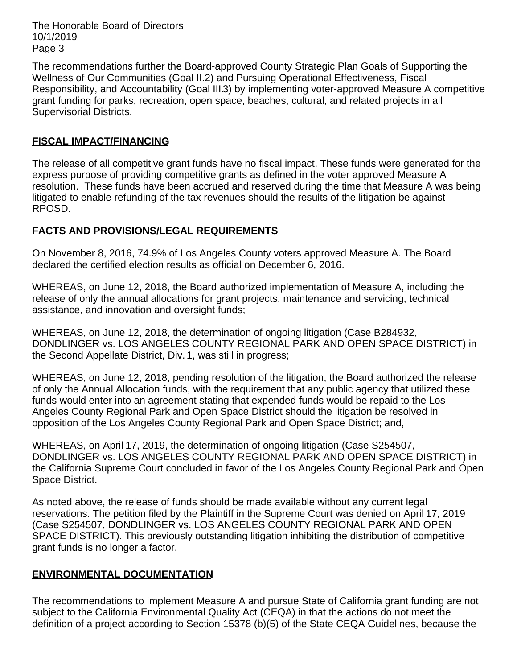The Honorable Board of Directors 10/1/2019 Page 3

The recommendations further the Board-approved County Strategic Plan Goals of Supporting the Wellness of Our Communities (Goal II.2) and Pursuing Operational Effectiveness, Fiscal Responsibility, and Accountability (Goal III.3) by implementing voter-approved Measure A competitive grant funding for parks, recreation, open space, beaches, cultural, and related projects in all Supervisorial Districts.

# **FISCAL IMPACT/FINANCING**

The release of all competitive grant funds have no fiscal impact. These funds were generated for the express purpose of providing competitive grants as defined in the voter approved Measure A resolution. These funds have been accrued and reserved during the time that Measure A was being litigated to enable refunding of the tax revenues should the results of the litigation be against RPOSD.

# **FACTS AND PROVISIONS/LEGAL REQUIREMENTS**

On November 8, 2016, 74.9% of Los Angeles County voters approved Measure A. The Board declared the certified election results as official on December 6, 2016.

WHEREAS, on June 12, 2018, the Board authorized implementation of Measure A, including the release of only the annual allocations for grant projects, maintenance and servicing, technical assistance, and innovation and oversight funds;

WHEREAS, on June 12, 2018, the determination of ongoing litigation (Case B284932, DONDLINGER vs. LOS ANGELES COUNTY REGIONAL PARK AND OPEN SPACE DISTRICT) in the Second Appellate District, Div. 1, was still in progress;

WHEREAS, on June 12, 2018, pending resolution of the litigation, the Board authorized the release of only the Annual Allocation funds, with the requirement that any public agency that utilized these funds would enter into an agreement stating that expended funds would be repaid to the Los Angeles County Regional Park and Open Space District should the litigation be resolved in opposition of the Los Angeles County Regional Park and Open Space District; and,

WHEREAS, on April 17, 2019, the determination of ongoing litigation (Case S254507, DONDLINGER vs. LOS ANGELES COUNTY REGIONAL PARK AND OPEN SPACE DISTRICT) in the California Supreme Court concluded in favor of the Los Angeles County Regional Park and Open Space District.

As noted above, the release of funds should be made available without any current legal reservations. The petition filed by the Plaintiff in the Supreme Court was denied on April 17, 2019 (Case S254507, DONDLINGER vs. LOS ANGELES COUNTY REGIONAL PARK AND OPEN SPACE DISTRICT). This previously outstanding litigation inhibiting the distribution of competitive grant funds is no longer a factor.

## **ENVIRONMENTAL DOCUMENTATION**

The recommendations to implement Measure A and pursue State of California grant funding are not subject to the California Environmental Quality Act (CEQA) in that the actions do not meet the definition of a project according to Section 15378 (b)(5) of the State CEQA Guidelines, because the